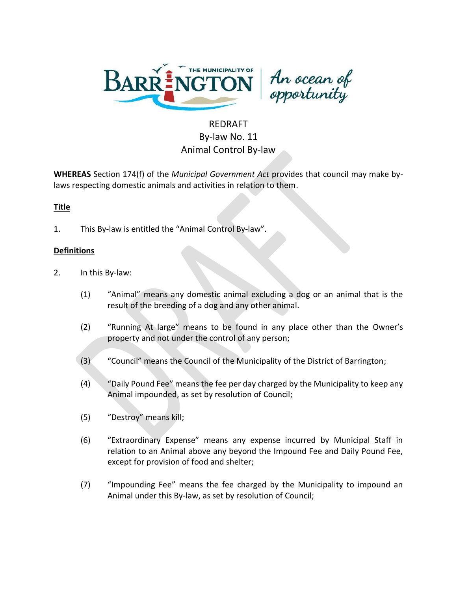



# REDRAFT By-law No. 11 Animal Control By-law

**WHEREAS** Section 174(f) of the *Municipal Government Act* provides that council may make bylaws respecting domestic animals and activities in relation to them.

# **Title**

1. This By-law is entitled the "Animal Control By-law".

# **Definitions**

- 2. In this By-law:
	- (1) "Animal" means any domestic animal excluding a dog or an animal that is the result of the breeding of a dog and any other animal.
	- (2) "Running At large" means to be found in any place other than the Owner's property and not under the control of any person;
	- (3) "Council" means the Council of the Municipality of the District of Barrington;
	- (4) "Daily Pound Fee" means the fee per day charged by the Municipality to keep any Animal impounded, as set by resolution of Council;
	- (5) "Destroy" means kill;
	- (6) "Extraordinary Expense" means any expense incurred by Municipal Staff in relation to an Animal above any beyond the Impound Fee and Daily Pound Fee, except for provision of food and shelter;
	- (7) "Impounding Fee" means the fee charged by the Municipality to impound an Animal under this By-law, as set by resolution of Council;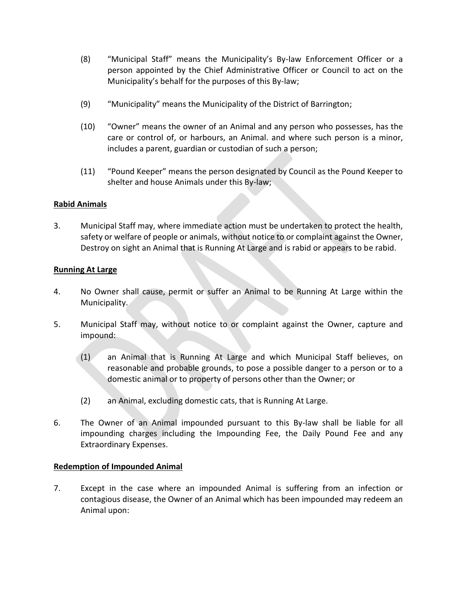- (8) "Municipal Staff" means the Municipality's By-law Enforcement Officer or a person appointed by the Chief Administrative Officer or Council to act on the Municipality's behalf for the purposes of this By-law;
- (9) "Municipality" means the Municipality of the District of Barrington;
- (10) "Owner" means the owner of an Animal and any person who possesses, has the care or control of, or harbours, an Animal. and where such person is a minor, includes a parent, guardian or custodian of such a person;
- (11) "Pound Keeper" means the person designated by Council as the Pound Keeper to shelter and house Animals under this By-law;

#### **Rabid Animals**

3. Municipal Staff may, where immediate action must be undertaken to protect the health, safety or welfare of people or animals, without notice to or complaint against the Owner, Destroy on sight an Animal that is Running At Large and is rabid or appears to be rabid.

#### **Running At Large**

- 4. No Owner shall cause, permit or suffer an Animal to be Running At Large within the Municipality.
- 5. Municipal Staff may, without notice to or complaint against the Owner, capture and impound:
	- (1) an Animal that is Running At Large and which Municipal Staff believes, on reasonable and probable grounds, to pose a possible danger to a person or to a domestic animal or to property of persons other than the Owner; or
	- (2) an Animal, excluding domestic cats, that is Running At Large.
- 6. The Owner of an Animal impounded pursuant to this By-law shall be liable for all impounding charges including the Impounding Fee, the Daily Pound Fee and any Extraordinary Expenses.

#### **Redemption of Impounded Animal**

7. Except in the case where an impounded Animal is suffering from an infection or contagious disease, the Owner of an Animal which has been impounded may redeem an Animal upon: